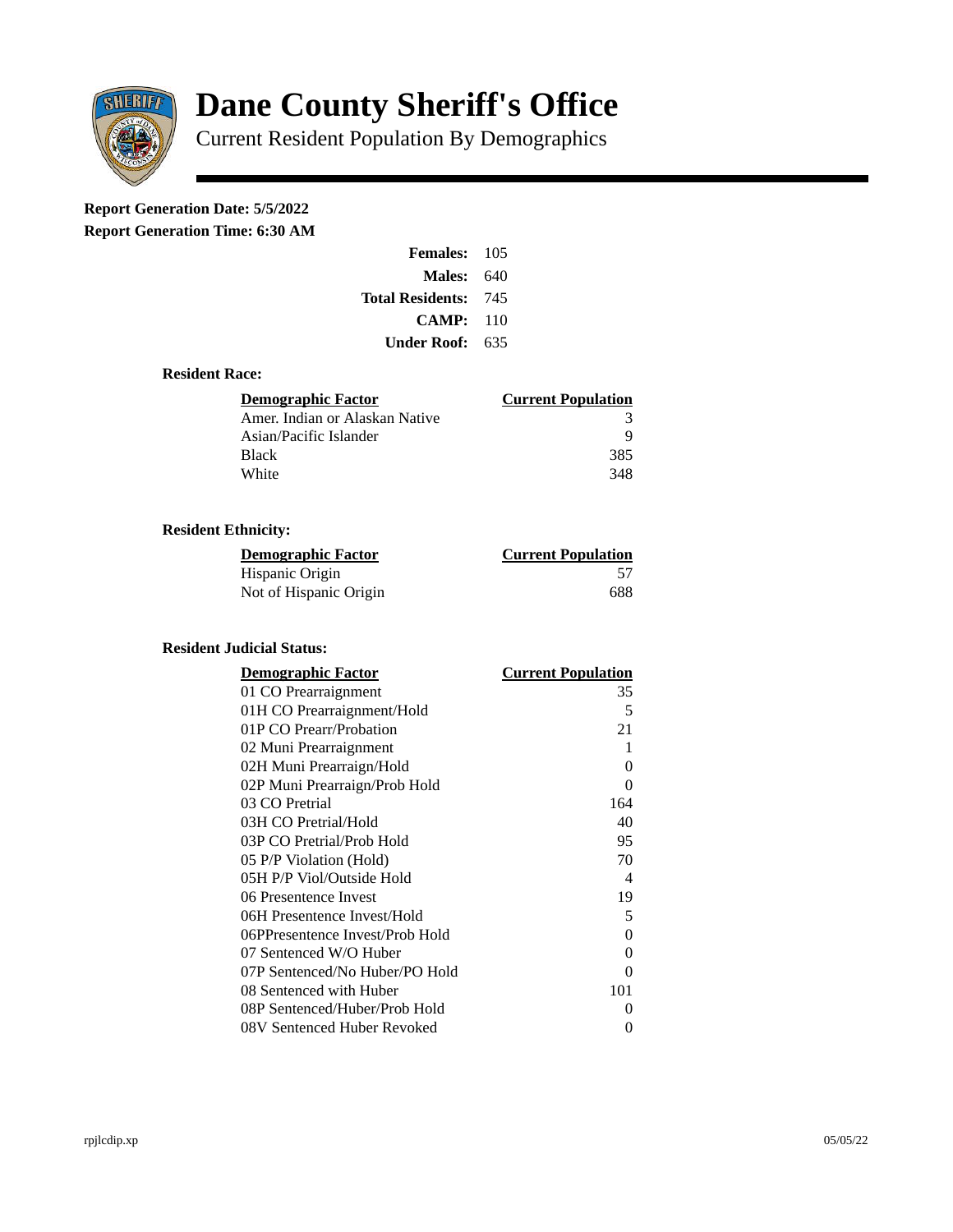

# **Dane County Sheriff's Office**

Current Resident Population By Demographics

# **Report Generation Date: 5/5/2022**

**Report Generation Time: 6:30 AM** 

| Females:         | 105  |
|------------------|------|
| Males:           | 640  |
| Total Residents: | -745 |
| CAMP:            | 110  |
| Under Roof:      | 635  |

### **Resident Race:**

| Demographic Factor             | <b>Current Population</b> |
|--------------------------------|---------------------------|
| Amer. Indian or Alaskan Native | 3                         |
| Asian/Pacific Islander         | q                         |
| Black                          | 385                       |
| White                          | 348                       |

## **Resident Ethnicity:**

| <u> Demographic Factor</u> | <b>Current Population</b> |
|----------------------------|---------------------------|
| Hispanic Origin            |                           |
| Not of Hispanic Origin     | 688                       |

#### **Resident Judicial Status:**

| <b>Demographic Factor</b>       | <b>Current Population</b>  |
|---------------------------------|----------------------------|
| 01 CO Prearraignment            | 35                         |
| 01H CO Prearraignment/Hold      | 5                          |
| 01P CO Prearr/Probation         | 21                         |
| 02 Muni Prearraignment          | 1                          |
| 02H Muni Prearraign/Hold        | 0                          |
| 02P Muni Prearraign/Prob Hold   | 0                          |
| 03 CO Pretrial                  | 164                        |
| 03H CO Pretrial/Hold            | 40                         |
| 03P CO Pretrial/Prob Hold       | 95                         |
| 05 P/P Violation (Hold)         | 70                         |
| 05H P/P Viol/Outside Hold       | $\boldsymbol{\mathcal{A}}$ |
| 06 Presentence Invest           | 19                         |
| 06H Presentence Invest/Hold     | 5                          |
| 06PPresentence Invest/Prob Hold | 0                          |
| 07 Sentenced W/O Huber          | 0                          |
| 07P Sentenced/No Huber/PO Hold  | 0                          |
| 08 Sentenced with Huber         | 101                        |
| 08P Sentenced/Huber/Prob Hold   | 0                          |
| 08V Sentenced Huber Revoked     | 0                          |